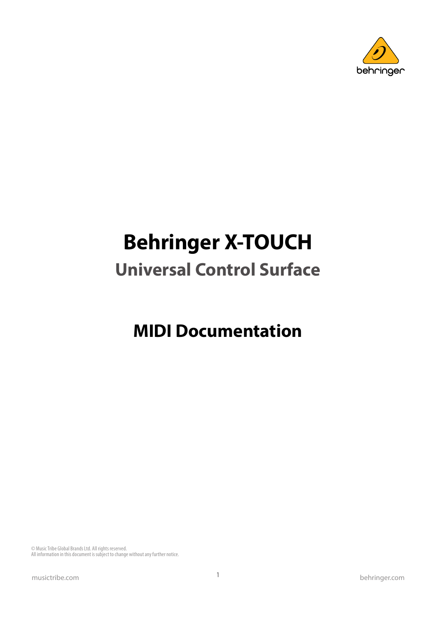

# **Behringer X-TOUCH**

## **Universal Control Surface**

## **MIDI Documentation**

© Music Tribe Global Brands Ltd. All rights reserved. All information in this document is subject to change without any further notice.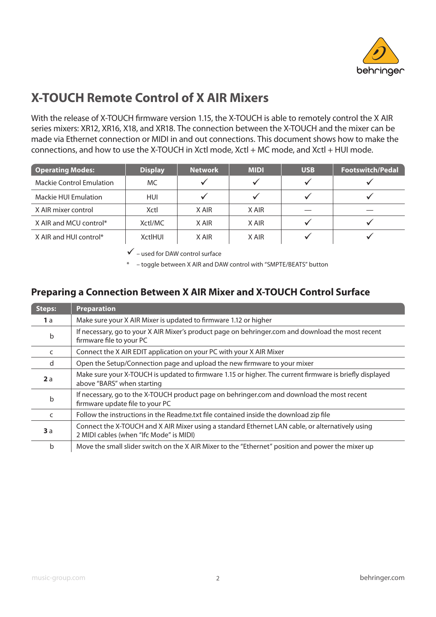

### **X-TOUCH Remote Control of X AIR Mixers**

With the release of X-TOUCH firmware version 1.15, the X-TOUCH is able to remotely control the X AIR series mixers: XR12, XR16, X18, and XR18. The connection between the X-TOUCH and the mixer can be made via Ethernet connection or MIDI in and out connections. This document shows how to make the connections, and how to use the X-TOUCH in Xctl mode, Xctl + MC mode, and Xctl + HUI mode.

| Operating Modes:                | <b>Display</b> | <b>Network</b> | <b>MIDI</b> | <b>USB</b> | <b>Footswitch/Pedal</b> |
|---------------------------------|----------------|----------------|-------------|------------|-------------------------|
| <b>Mackie Control Emulation</b> | MC.            |                |             |            |                         |
| Mackie HUI Emulation            | <b>HUI</b>     |                |             |            |                         |
| X AIR mixer control             | Xctl           | X AIR          | X AIR       |            |                         |
| X AIR and MCU control*          | Xctl/MC        | X AIR          | X AIR       |            |                         |
| X AIR and HUI control*          | XctlHUI        | X AIR          | X AIR       |            |                         |

 $\checkmark$  – used for DAW control surface

\* – toggle between X AIR and DAW control with "SMPTE/BEATS" button

#### **Preparing a Connection Between X AIR Mixer and X-TOUCH Control Surface**

| <b>Steps:</b> | <b>Preparation</b>                                                                                                                         |
|---------------|--------------------------------------------------------------------------------------------------------------------------------------------|
| <b>1</b> a    | Make sure your X AIR Mixer is updated to firmware 1.12 or higher                                                                           |
| b             | If necessary, go to your X AIR Mixer's product page on behringer.com and download the most recent<br>firmware file to your PC              |
| C             | Connect the X AIR EDIT application on your PC with your X AIR Mixer                                                                        |
| d             | Open the Setup/Connection page and upload the new firmware to your mixer                                                                   |
| 2a            | Make sure your X-TOUCH is updated to firmware 1.15 or higher. The current firmware is briefly displayed<br>above "BARS" when starting      |
| $\mathsf b$   | If necessary, go to the X-TOUCH product page on behringer.com and download the most recent<br>firmware update file to your PC              |
| C             | Follow the instructions in the Readme.txt file contained inside the download zip file                                                      |
| 3a            | Connect the X-TOUCH and X AIR Mixer using a standard Ethernet LAN cable, or alternatively using<br>2 MIDI cables (when "Ifc Mode" is MIDI) |
| b             | Move the small slider switch on the X AIR Mixer to the "Ethernet" position and power the mixer up                                          |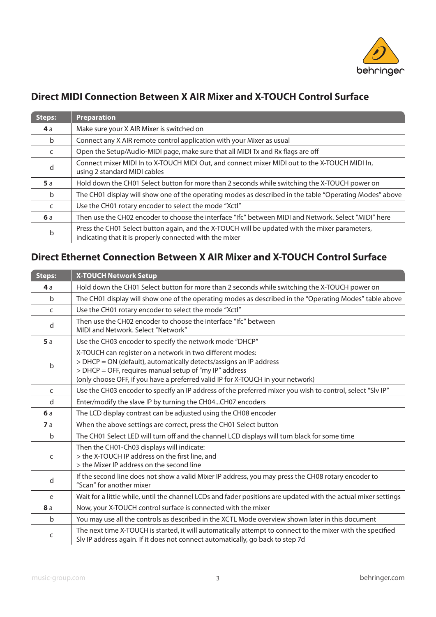

#### **Direct MIDI Connection Between X AIR Mixer and X-TOUCH Control Surface**

| <b>Steps:</b> | <b>Preparation</b>                                                                                                                                        |
|---------------|-----------------------------------------------------------------------------------------------------------------------------------------------------------|
| <b>4</b> a    | Make sure your X AIR Mixer is switched on                                                                                                                 |
| b             | Connect any X AIR remote control application with your Mixer as usual                                                                                     |
| C             | Open the Setup/Audio-MIDI page, make sure that all MIDI Tx and Rx flags are off                                                                           |
| d             | Connect mixer MIDI In to X-TOUCH MIDI Out, and connect mixer MIDI out to the X-TOUCH MIDI In,<br>using 2 standard MIDI cables                             |
| <b>5</b> a    | Hold down the CH01 Select button for more than 2 seconds while switching the X-TOUCH power on                                                             |
| b             | The CH01 display will show one of the operating modes as described in the table "Operating Modes" above                                                   |
| C             | Use the CH01 rotary encoder to select the mode "Xctl"                                                                                                     |
| <b>6</b> a    | Then use the CH02 encoder to choose the interface "Ifc" between MIDI and Network. Select "MIDI" here                                                      |
| b             | Press the CH01 Select button again, and the X-TOUCH will be updated with the mixer parameters,<br>indicating that it is properly connected with the mixer |

#### **Direct Ethernet Connection Between X AIR Mixer and X-TOUCH Control Surface**

| <b>Steps:</b> | <b>X-TOUCH Network Setup</b>                                                                                                                                                                                                                                                 |
|---------------|------------------------------------------------------------------------------------------------------------------------------------------------------------------------------------------------------------------------------------------------------------------------------|
| 4a            | Hold down the CH01 Select button for more than 2 seconds while switching the X-TOUCH power on                                                                                                                                                                                |
| $\mathbf b$   | The CH01 display will show one of the operating modes as described in the "Operating Modes" table above                                                                                                                                                                      |
| C             | Use the CH01 rotary encoder to select the mode "Xctl"                                                                                                                                                                                                                        |
| d             | Then use the CH02 encoder to choose the interface "Ifc" between<br>MIDI and Network. Select "Network"                                                                                                                                                                        |
| 5a            | Use the CH03 encoder to specify the network mode "DHCP"                                                                                                                                                                                                                      |
| b             | X-TOUCH can register on a network in two different modes:<br>> DHCP = ON (default), automatically detects/assigns an IP address<br>> DHCP = OFF, requires manual setup of "my IP" address<br>(only choose OFF, if you have a preferred valid IP for X-TOUCH in your network) |
| C             | Use the CH03 encoder to specify an IP address of the preferred mixer you wish to control, select "SIv IP"                                                                                                                                                                    |
| d             | Enter/modify the slave IP by turning the CH04CH07 encoders                                                                                                                                                                                                                   |
| 6a            | The LCD display contrast can be adjusted using the CH08 encoder                                                                                                                                                                                                              |
| 7a            | When the above settings are correct, press the CH01 Select button                                                                                                                                                                                                            |
| $\mathsf b$   | The CH01 Select LED will turn off and the channel LCD displays will turn black for some time                                                                                                                                                                                 |
| C             | Then the CH01-Ch03 displays will indicate:<br>> the X-TOUCH IP address on the first line, and<br>> the Mixer IP address on the second line                                                                                                                                   |
| d             | If the second line does not show a valid Mixer IP address, you may press the CH08 rotary encoder to<br>"Scan" for another mixer                                                                                                                                              |
| e             | Wait for a little while, until the channel LCDs and fader positions are updated with the actual mixer settings                                                                                                                                                               |
| 8a            | Now, your X-TOUCH control surface is connected with the mixer                                                                                                                                                                                                                |
| $\mathsf b$   | You may use all the controls as described in the XCTL Mode overview shown later in this document                                                                                                                                                                             |
| C             | The next time X-TOUCH is started, it will automatically attempt to connect to the mixer with the specified<br>Slv IP address again. If it does not connect automatically, go back to step 7d                                                                                 |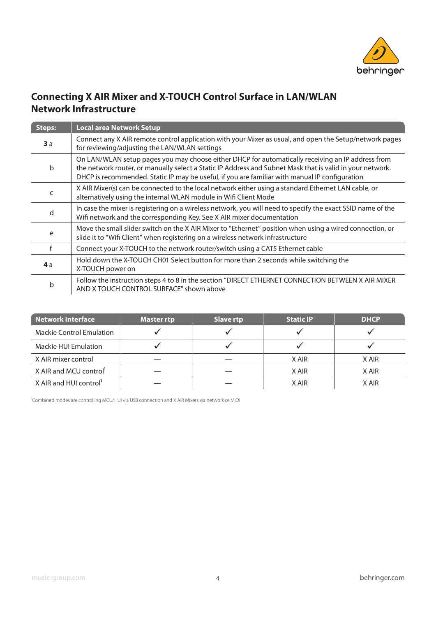

#### **Connecting X AIR Mixer and X-TOUCH Control Surface in LAN/WLAN Network Infrastructure**

| <b>Steps:</b> | <b>Local area Network Setup</b>                                                                                                                                                                                                                                                                                  |
|---------------|------------------------------------------------------------------------------------------------------------------------------------------------------------------------------------------------------------------------------------------------------------------------------------------------------------------|
| 3a            | Connect any X AIR remote control application with your Mixer as usual, and open the Setup/network pages<br>for reviewing/adjusting the LAN/WLAN settings                                                                                                                                                         |
| b             | On LAN/WLAN setup pages you may choose either DHCP for automatically receiving an IP address from<br>the network router, or manually select a Static IP Address and Subnet Mask that is valid in your network.<br>DHCP is recommended. Static IP may be useful, if you are familiar with manual IP configuration |
| C             | X AIR Mixer(s) can be connected to the local network either using a standard Ethernet LAN cable, or<br>alternatively using the internal WLAN module in Wifi Client Mode                                                                                                                                          |
| d             | In case the mixer is registering on a wireless network, you will need to specify the exact SSID name of the<br>Wifi network and the corresponding Key. See X AIR mixer documentation                                                                                                                             |
| e             | Move the small slider switch on the X AIR Mixer to "Ethernet" position when using a wired connection, or<br>slide it to "Wifi Client" when registering on a wireless network infrastructure                                                                                                                      |
|               | Connect your X-TOUCH to the network router/switch using a CAT5 Ethernet cable                                                                                                                                                                                                                                    |
| 4a            | Hold down the X-TOUCH CH01 Select button for more than 2 seconds while switching the<br>X-TOUCH power on                                                                                                                                                                                                         |
| b             | Follow the instruction steps 4 to 8 in the section "DIRECT ETHERNET CONNECTION BETWEEN X AIR MIXER<br>AND X TOUCH CONTROL SURFACE" shown above                                                                                                                                                                   |

| <b>Network Interface</b>           | Master rtp | <b>Slave rtp</b> | <b>Static IP</b> | <b>DHCP</b> |
|------------------------------------|------------|------------------|------------------|-------------|
| <b>Mackie Control Emulation</b>    |            |                  |                  |             |
| Mackie HUI Emulation               |            |                  |                  |             |
| X AIR mixer control                |            |                  | X AIR            | X AIR       |
| X AIR and MCU control <sup>1</sup> |            |                  | X AIR            | X AIR       |
| X AIR and HUI control              |            |                  | X AIR            | X AIR       |

<sup>1</sup>Combined modes are controlling MCU/HUI via USB connection and X AIR Mixers via network or MIDI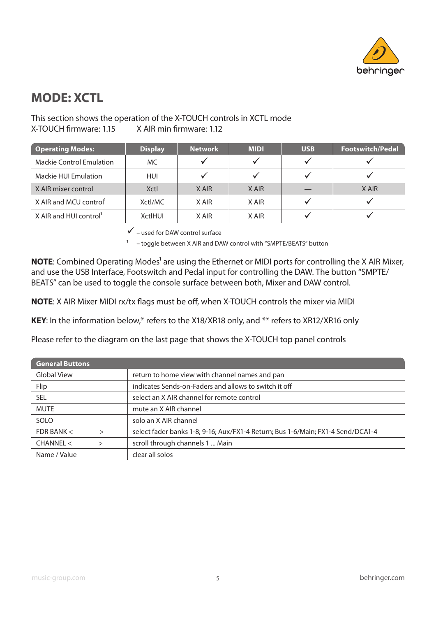

### **MODE: XCTL**

#### This section shows the operation of the X-TOUCH controls in XCTL mode X-TOUCH firmware: 1.15 X AIR min firmware: 1.12

| <b>Operating Modes:</b>            | <b>Display</b> | <b>Network</b> | <b>MIDI</b> | <b>USB</b> | <b>Footswitch/Pedal</b> |
|------------------------------------|----------------|----------------|-------------|------------|-------------------------|
| <b>Mackie Control Emulation</b>    | MC.            |                |             |            |                         |
| Mackie HUI Emulation               | <b>HUI</b>     |                |             |            |                         |
| X AIR mixer control                | Xctl           | X AIR          | X AIR       |            | X AIR                   |
| X AIR and MCU control <sup>1</sup> | Xctl/MC        | X AIR          | X AIR       |            |                         |
| X AIR and HUI control              | <b>XctlHUI</b> | X AIR          | X AIR       |            |                         |

 $\checkmark$  – used for DAW control surface

1 – toggle between X AIR and DAW control with "SMPTE/BEATS" button

**NOTE:** Combined Operating Modes<sup>1</sup> are using the Ethernet or MIDI ports for controlling the X AIR Mixer, and use the USB Interface, Footswitch and Pedal input for controlling the DAW. The button "SMPTE/ BEATS" can be used to toggle the console surface between both, Mixer and DAW control.

**NOTE:** X AIR Mixer MIDI rx/tx flags must be off, when X-TOUCH controls the mixer via MIDI

**KEY**: In the information below,\* refers to the X18/XR18 only, and \*\* refers to XR12/XR16 only

Please refer to the diagram on the last page that shows the X-TOUCH top panel controls

| <b>General Buttons</b> |                                                                                 |
|------------------------|---------------------------------------------------------------------------------|
| Global View            | return to home view with channel names and pan                                  |
| Flip                   | indicates Sends-on-Faders and allows to switch it off                           |
| SEL                    | select an X AIR channel for remote control                                      |
| <b>MUTE</b>            | mute an X AIR channel                                                           |
| SOLO                   | solo an X AIR channel                                                           |
| FDR BANK $<$           | select fader banks 1-8; 9-16; Aux/FX1-4 Return; Bus 1-6/Main; FX1-4 Send/DCA1-4 |
| CHANNEL <              | scroll through channels 1  Main                                                 |
| Name / Value           | clear all solos                                                                 |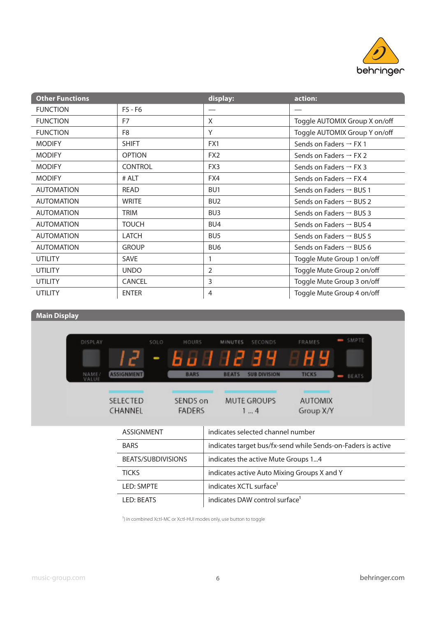

| <b>Other Functions</b> |                | display:        | action:                             |
|------------------------|----------------|-----------------|-------------------------------------|
| <b>FUNCTION</b>        | F5 - F6        |                 |                                     |
| <b>FUNCTION</b>        | F7             | X               | Toggle AUTOMIX Group X on/off       |
| <b>FUNCTION</b>        | F <sub>8</sub> | Y               | Toggle AUTOMIX Group Y on/off       |
| <b>MODIFY</b>          | <b>SHIFT</b>   | FX1             | Sends on Faders $\rightarrow$ FX 1  |
| <b>MODIFY</b>          | <b>OPTION</b>  | FX <sub>2</sub> | Sends on Faders $\rightarrow$ FX 2  |
| <b>MODIFY</b>          | <b>CONTROL</b> | FX3             | Sends on Faders $\rightarrow$ FX 3  |
| <b>MODIFY</b>          | # ALT          | FX4             | Sends on Faders $\rightarrow$ FX 4  |
| <b>AUTOMATION</b>      | READ           | BU <sub>1</sub> | Sends on Faders $\rightarrow$ BUS 1 |
| <b>AUTOMATION</b>      | <b>WRITE</b>   | BU <sub>2</sub> | Sends on Faders $\rightarrow$ BUS 2 |
| <b>AUTOMATION</b>      | <b>TRIM</b>    | BU <sub>3</sub> | Sends on Faders $\rightarrow$ BUS 3 |
| <b>AUTOMATION</b>      | <b>TOUCH</b>   | BU4             | Sends on Faders $\rightarrow$ BUS 4 |
| <b>AUTOMATION</b>      | <b>LATCH</b>   | BU <sub>5</sub> | Sends on Faders $\rightarrow$ BUS 5 |
| <b>AUTOMATION</b>      | <b>GROUP</b>   | BU <sub>6</sub> | Sends on Faders $\rightarrow$ BUS 6 |
| <b>UTILITY</b>         | <b>SAVE</b>    | 1               | Toggle Mute Group 1 on/off          |
| <b>UTILITY</b>         | <b>UNDO</b>    | 2               | Toggle Mute Group 2 on/off          |
| UTILITY                | CANCEL         | 3               | Toggle Mute Group 3 on/off          |
| <b>UTILITY</b>         | <b>ENTER</b>   | 4               | Toggle Mute Group 4 on/off          |

#### **Main Display**

| DISPLAY        |                   | SOLO | <b>HOURS</b>  | MINUTES      | <b>SECONDS</b>      | <b>FRAMES</b>  | SMPTE |
|----------------|-------------------|------|---------------|--------------|---------------------|----------------|-------|
|                |                   | I    | n             | 1 H          | H                   | Н              |       |
| NAME/<br>VALUE | <b>ASSIGNMENT</b> |      | <b>BARS</b>   | <b>BEATS</b> | <b>SUB DIVISION</b> | <b>TICKS</b>   | BEATS |
|                | SELECTED          |      | SENDS on      |              | MUTE GROUPS         | <b>AUTOMIX</b> |       |
|                | CHANNEL           |      | <b>FADERS</b> |              | 14                  | Group X/Y      |       |

| ASSIGNMENT         | indicates selected channel number                            |
|--------------------|--------------------------------------------------------------|
| <b>BARS</b>        | indicates target bus/fx-send while Sends-on-Faders is active |
| BEATS/SUBDIVISIONS | indicates the active Mute Groups 14                          |
| <b>TICKS</b>       | indicates active Auto Mixing Groups X and Y                  |
| <b>LED: SMPTE</b>  | indicates XCTL surface <sup>1</sup>                          |
| LED: BEATS         | indicates DAW control surface <sup>1</sup>                   |

<sup>1</sup>) in combined Xctl-MC or Xctl-HUI modes only, use button to toggle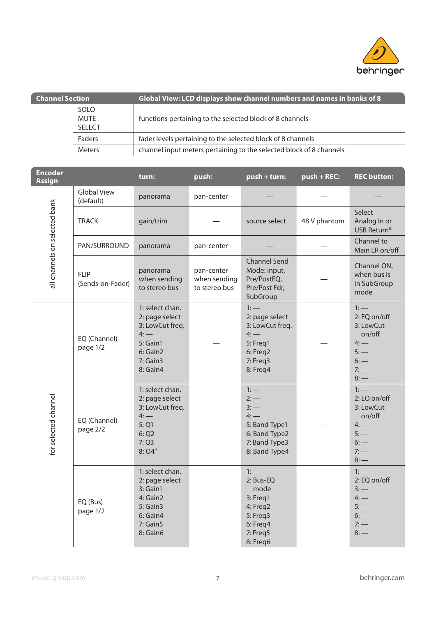

| <b>Channel Section</b> |                                      | Global View: LCD displays show channel numbers and names in banks of 8 |
|------------------------|--------------------------------------|------------------------------------------------------------------------|
|                        | <b>SOLO</b><br>MUTE<br><b>SELECT</b> | functions pertaining to the selected block of 8 channels               |
|                        | Faders                               | fader levels pertaining to the selected block of 8 channels            |
|                        | <b>Meters</b>                        | channel input meters pertaining to the selected block of 8 channels    |

| <b>Encoder</b><br><b>Assign</b> |                                 | turn:                                                                                                          | push:                                       | push + turn:                                                                                           | $push + REC$ : | <b>REC button:</b>                                                                         |
|---------------------------------|---------------------------------|----------------------------------------------------------------------------------------------------------------|---------------------------------------------|--------------------------------------------------------------------------------------------------------|----------------|--------------------------------------------------------------------------------------------|
|                                 | <b>Global View</b><br>(default) | panorama                                                                                                       | pan-center                                  |                                                                                                        |                |                                                                                            |
|                                 | <b>TRACK</b>                    | gain/trim                                                                                                      |                                             | source select                                                                                          | 48 V phantom   | Select<br>Analog In or<br>USB Return*                                                      |
| all channels on selected bank   | PAN/SURROUND                    | panorama                                                                                                       | pan-center                                  |                                                                                                        |                | Channel to<br>Main LR on/off                                                               |
|                                 | <b>FLIP</b><br>(Sends-on-Fader) | panorama<br>when sending<br>to stereo bus                                                                      | pan-center<br>when sending<br>to stereo bus | <b>Channel Send</b><br>Mode: Input,<br>Pre/PostEQ,<br>Pre/Post Fdr,<br>SubGroup                        |                | Channel ON,<br>when bus is<br>in SubGroup<br>mode                                          |
| for selected channel            | EQ (Channel)<br>page 1/2        | 1: select chan.<br>2: page select<br>3: LowCut freq.<br>$4:$ —<br>5: Gain1<br>6: Gain2<br>7: Gain3<br>8: Gain4 |                                             | $1:-$<br>2: page select<br>3: LowCut freq.<br>$4:$ —<br>5: Freq1<br>6: Freq2<br>7: Freq3<br>8: Freq4   |                | $1:-$<br>2: EQ on/off<br>3: LowCut<br>on/off<br>$4:$ —<br>$5:$ —<br>$6:$ —<br>7:<br>$8:$ — |
|                                 | EQ (Channel)<br>page 2/2        | 1: select chan.<br>2: page select<br>3: LowCut freq.<br>$4:$ —<br>5:Q1<br>6:Q2<br>7:Q3<br>8: Q4"               |                                             | $1:$ —<br>$2:-$<br>$3:-$<br>$4:$ —<br>5: Band Type1<br>6: Band Type2<br>7: Band Type3<br>8: Band Type4 |                | $1:-$<br>2: EQ on/off<br>3: LowCut<br>on/off<br>4:<br>$5:$ —<br>$6:$ —<br>7:<br>$8:$ —     |
|                                 | EQ (Bus)<br>page 1/2            | 1: select chan.<br>2: page select<br>3: Gain1<br>4: Gain2<br>5: Gain3<br>6: Gain4<br>7: Gain5<br>8: Gain6      |                                             | $1:-$<br>2: Bus-EQ<br>mode<br>3: Freq1<br>4: Freq2<br>5: Freq3<br>6: Freq4<br>7: Freq5<br>8: Freq6     |                | $1:-$<br>2: EQ on/off<br>$3:$ —<br>$4:$ —<br>$5:$ —<br>$6:$ —<br>7:<br>$8:$ —              |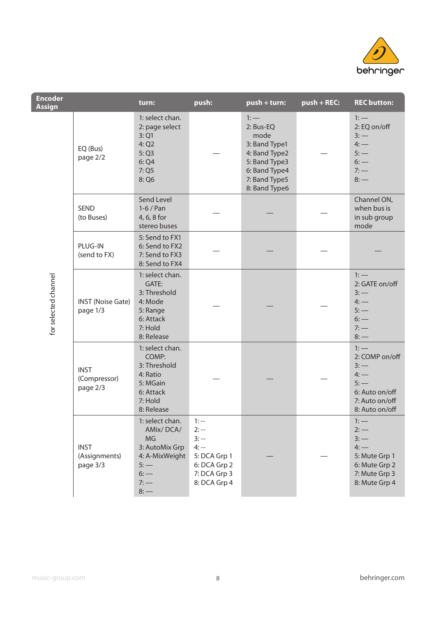

| <b>Encoder</b><br><b>Assign</b> |                                          | turn:                                                                                                          | push:                                                                                                  | push + turn:                                                                                                                      | $push + REC$ : | <b>REC button:</b>                                                                                       |
|---------------------------------|------------------------------------------|----------------------------------------------------------------------------------------------------------------|--------------------------------------------------------------------------------------------------------|-----------------------------------------------------------------------------------------------------------------------------------|----------------|----------------------------------------------------------------------------------------------------------|
|                                 | EQ (Bus)<br>page 2/2                     | 1: select chan.<br>2: page select<br>3:Q1<br>4:Q2<br>5:Q3<br>6:Q4<br>7:Q5<br>8: Q6                             |                                                                                                        | $1:$ —<br>2: Bus-EQ<br>mode<br>3: Band Type1<br>4: Band Type2<br>5: Band Type3<br>6: Band Type4<br>7: Band Type5<br>8: Band Type6 |                | $1:$ $-$<br>2: EQ on/off<br>$3:$ —<br>4:<br>$5:$ —<br>$6:$ $-$<br>7:<br>$8:$ —                           |
|                                 | <b>SEND</b><br>(to Buses)                | Send Level<br>$1-6$ / Pan<br>4, 6, 8 for<br>stereo buses                                                       |                                                                                                        |                                                                                                                                   |                | Channel ON,<br>when bus is<br>in sub group<br>mode                                                       |
|                                 | PLUG-IN<br>(send to FX)                  | 5: Send to FX1<br>6: Send to FX2<br>7: Send to FX3<br>8: Send to FX4                                           |                                                                                                        |                                                                                                                                   |                |                                                                                                          |
| for selected channel            | <b>INST</b> (Noise Gate)<br>page 1/3     | 1: select chan.<br>GATE:<br>3: Threshold<br>4: Mode<br>5: Range<br>6: Attack<br>7: Hold<br>8: Release          |                                                                                                        |                                                                                                                                   |                | $1:$ —<br>2: GATE on/off<br>$3:$ —<br>4:<br>$5:$ —<br>$6:$ —<br>7:<br>$8:$ —                             |
|                                 | <b>INST</b><br>(Compressor)<br>page 2/3  | 1: select chan.<br>COMP:<br>3: Threshold<br>4: Ratio<br>5: MGain<br>6: Attack<br>7: Hold<br>8: Release         |                                                                                                        |                                                                                                                                   |                | $1:$ —<br>2: COMP on/off<br>$3:$ —<br>4:<br>$5:$ —<br>6: Auto on/off<br>7: Auto on/off<br>8: Auto on/off |
|                                 | <b>INST</b><br>(Assignments)<br>page 3/3 | 1: select chan.<br>AMix/DCA/<br>MG<br>3: AutoMix Grp<br>4: A-MixWeight<br>$5:$ —<br>$6:$ $-$<br>7:<br>$8:$ $-$ | $1: -$<br>$2: -$<br>$3: - -$<br>$4: -$<br>5: DCA Grp 1<br>6: DCA Grp 2<br>7: DCA Grp 3<br>8: DCA Grp 4 |                                                                                                                                   |                | $1:$ —<br>$2:$ —<br>$3:$ —<br>4:<br>5: Mute Grp 1<br>6: Mute Grp 2<br>7: Mute Grp 3<br>8: Mute Grp 4     |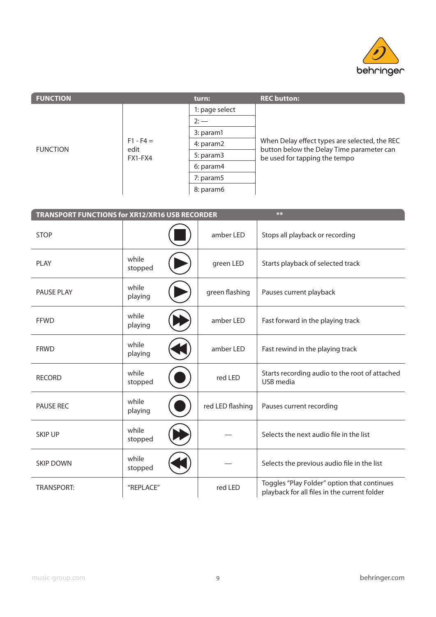

| <b>FUNCTION</b>         |                        | turn:          | <b>REC button:</b>                                                                         |
|-------------------------|------------------------|----------------|--------------------------------------------------------------------------------------------|
| edit<br><b>FUNCTION</b> |                        | 1: page select |                                                                                            |
|                         |                        | $2:$ —         |                                                                                            |
|                         | $F1 - F4 =$<br>FX1-FX4 | 3: param1      |                                                                                            |
|                         |                        | 4: param2      | When Delay effect types are selected, the REC<br>button below the Delay Time parameter can |
|                         |                        | 5: param3      | be used for tapping the tempo                                                              |
|                         |                        | 6: param4      |                                                                                            |
|                         |                        | 7: param5      |                                                                                            |
|                         |                        | 8: param6      |                                                                                            |

| $**$<br>TRANSPORT FUNCTIONS for XR12/XR16 USB RECORDER |                  |  |                  |                                                                                             |  |  |  |  |
|--------------------------------------------------------|------------------|--|------------------|---------------------------------------------------------------------------------------------|--|--|--|--|
| <b>STOP</b>                                            |                  |  | amber LED        | Stops all playback or recording                                                             |  |  |  |  |
| <b>PLAY</b>                                            | while<br>stopped |  | green LED        | Starts playback of selected track                                                           |  |  |  |  |
| PAUSE PLAY                                             | while<br>playing |  | green flashing   | Pauses current playback                                                                     |  |  |  |  |
| <b>FFWD</b>                                            | while<br>playing |  | amber LED        | Fast forward in the playing track                                                           |  |  |  |  |
| <b>FRWD</b>                                            | while<br>playing |  | amber LED        | Fast rewind in the playing track                                                            |  |  |  |  |
| <b>RECORD</b>                                          | while<br>stopped |  | red LED          | Starts recording audio to the root of attached<br>USB media                                 |  |  |  |  |
| <b>PAUSE REC</b>                                       | while<br>playing |  | red LED flashing | Pauses current recording                                                                    |  |  |  |  |
| <b>SKIP UP</b>                                         | while<br>stopped |  |                  | Selects the next audio file in the list                                                     |  |  |  |  |
| <b>SKIP DOWN</b>                                       | while<br>stopped |  |                  | Selects the previous audio file in the list                                                 |  |  |  |  |
| <b>TRANSPORT:</b>                                      | "REPLACE"        |  | red LED          | Toggles "Play Folder" option that continues<br>playback for all files in the current folder |  |  |  |  |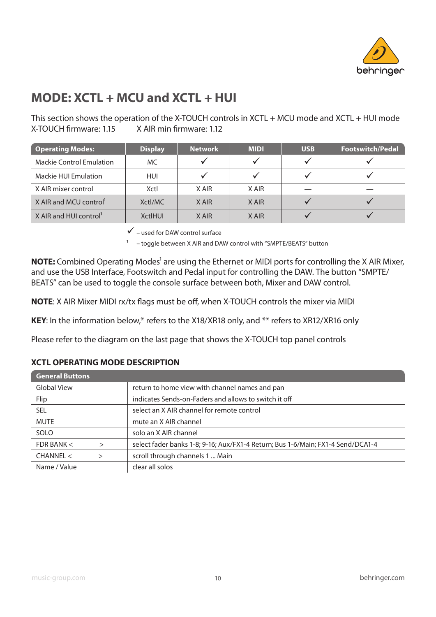

## **MODE: XCTL + MCU and XCTL + HUI**

This section shows the operation of the X-TOUCH controls in XCTL + MCU mode and XCTL + HUI mode X-TOUCH firmware: 1.15 X AIR min firmware: 1.12

| <b>Operating Modes:</b>            | <b>Display</b> | <b>Network</b> | <b>MIDI</b> | <b>USB</b> | <b>Footswitch/Pedal</b> |
|------------------------------------|----------------|----------------|-------------|------------|-------------------------|
| <b>Mackie Control Emulation</b>    | MC.            |                |             |            |                         |
| Mackie HUI Emulation               | <b>HUI</b>     |                |             |            |                         |
| X AIR mixer control                | Xctl           | X AIR          | X AIR       |            |                         |
| X AIR and MCU control <sup>1</sup> | Xctl/MC        | X AIR          | X AIR       |            |                         |
| X AIR and HUI control <sup>1</sup> | <b>XctlHUI</b> | X AIR          | X AIR       |            |                         |

 $\checkmark$  – used for DAW control surface

1 – toggle between X AIR and DAW control with "SMPTE/BEATS" button

**NOTE:** Combined Operating Modes<sup>1</sup> are using the Ethernet or MIDI ports for controlling the X AIR Mixer, and use the USB Interface, Footswitch and Pedal input for controlling the DAW. The button "SMPTE/ BEATS" can be used to toggle the console surface between both, Mixer and DAW control.

**NOTE:** X AIR Mixer MIDI rx/tx flags must be off, when X-TOUCH controls the mixer via MIDI

**KEY**: In the information below,\* refers to the X18/XR18 only, and \*\* refers to XR12/XR16 only

Please refer to the diagram on the last page that shows the X-TOUCH top panel controls

#### **XCTL OPERATING MODE DESCRIPTION**

| <b>General Buttons</b>       |                                                                                 |
|------------------------------|---------------------------------------------------------------------------------|
| <b>Global View</b>           | return to home view with channel names and pan                                  |
| Flip                         | indicates Sends-on-Faders and allows to switch it off                           |
| SEL.                         | select an X AIR channel for remote control                                      |
| <b>MUTE</b>                  | mute an X AIR channel                                                           |
| <b>SOLO</b>                  | solo an X AIR channel                                                           |
| FDR BANK $<$<br>$\mathbf{I}$ | select fader banks 1-8; 9-16; Aux/FX1-4 Return; Bus 1-6/Main; FX1-4 Send/DCA1-4 |
| CHANNEL <                    | scroll through channels 1  Main                                                 |
| Name / Value                 | clear all solos                                                                 |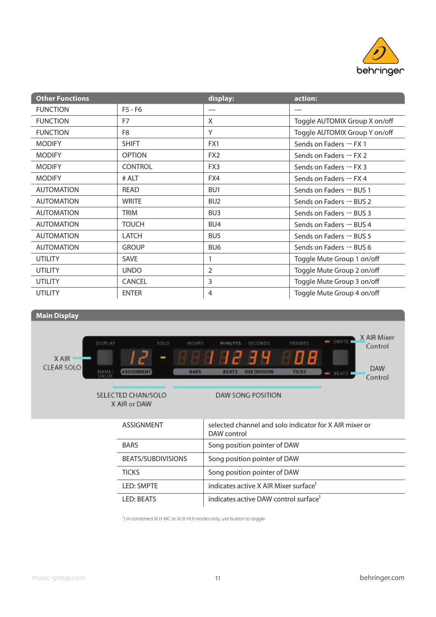

| <b>Other Functions</b> |                | display:        | action:                             |
|------------------------|----------------|-----------------|-------------------------------------|
| <b>FUNCTION</b>        | $F5 - F6$      |                 |                                     |
| <b>FUNCTION</b>        | F7             | X               | Toggle AUTOMIX Group X on/off       |
| <b>FUNCTION</b>        | F <sub>8</sub> | Y               | Toggle AUTOMIX Group Y on/off       |
| <b>MODIFY</b>          | <b>SHIFT</b>   | FX1             | Sends on Faders $\rightarrow$ FX 1  |
| <b>MODIFY</b>          | <b>OPTION</b>  | FX <sub>2</sub> | Sends on Faders $\rightarrow$ FX 2  |
| <b>MODIFY</b>          | <b>CONTROL</b> | FX3             | Sends on Faders $\rightarrow$ FX 3  |
| <b>MODIFY</b>          | # ALT          | FX4             | Sends on Faders $\rightarrow$ FX 4  |
| <b>AUTOMATION</b>      | READ           | BU <sub>1</sub> | Sends on Faders $\rightarrow$ BUS 1 |
| <b>AUTOMATION</b>      | <b>WRITE</b>   | BU <sub>2</sub> | Sends on Faders $\rightarrow$ BUS 2 |
| <b>AUTOMATION</b>      | TRIM           | BU <sub>3</sub> | Sends on Faders $\rightarrow$ BUS 3 |
| <b>AUTOMATION</b>      | <b>TOUCH</b>   | BU4             | Sends on Faders $\rightarrow$ BUS 4 |
| <b>AUTOMATION</b>      | <b>LATCH</b>   | BU <sub>5</sub> | Sends on Faders $\rightarrow$ BUS 5 |
| <b>AUTOMATION</b>      | <b>GROUP</b>   | BU <sub>6</sub> | Sends on Faders $\rightarrow$ BUS 6 |
| <b>UTILITY</b>         | <b>SAVE</b>    |                 | Toggle Mute Group 1 on/off          |
| <b>UTILITY</b>         | <b>UNDO</b>    | 2               | Toggle Mute Group 2 on/off          |
| UTILITY                | <b>CANCEL</b>  | 3               | Toggle Mute Group 3 on/off          |
| <b>UTILITY</b>         | <b>ENTER</b>   | 4               | Toggle Mute Group 4 on/off          |



| ASSIGNMENT         | selected channel and solo indicator for X AlR mixer or<br>DAW control |
|--------------------|-----------------------------------------------------------------------|
| <b>BARS</b>        | Song position pointer of DAW                                          |
| BEATS/SUBDIVISIONS | Song position pointer of DAW                                          |
| <b>TICKS</b>       | Song position pointer of DAW                                          |
| <b>LED: SMPTE</b>  | indicates active X AIR Mixer surface <sup>1</sup>                     |
| LED: BEATS         | indicates active DAW control surface <sup>1</sup>                     |

<sup>1</sup>) in combined Xctl-MC or Xctl-HUI modes only, use button to toggle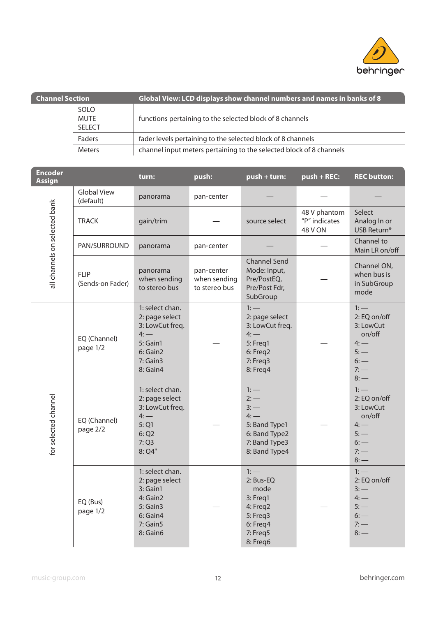

| <b>Channel Section</b> |                                             | Global View: LCD displays show channel numbers and names in banks of 8 |
|------------------------|---------------------------------------------|------------------------------------------------------------------------|
|                        | <b>SOLO</b><br><b>MUTE</b><br><b>SELECT</b> | functions pertaining to the selected block of 8 channels               |
|                        | Faders                                      | fader levels pertaining to the selected block of 8 channels            |
|                        | <b>Meters</b>                               | channel input meters pertaining to the selected block of 8 channels    |

| <b>Encoder</b><br><b>Assign</b> |                                 | turn:                                                                                                          | push:                                       | push + turn:                                                                                            | $push + REC$ :                                  | <b>REC button:</b>                                                                         |
|---------------------------------|---------------------------------|----------------------------------------------------------------------------------------------------------------|---------------------------------------------|---------------------------------------------------------------------------------------------------------|-------------------------------------------------|--------------------------------------------------------------------------------------------|
|                                 | <b>Global View</b><br>(default) | panorama                                                                                                       | pan-center                                  |                                                                                                         |                                                 |                                                                                            |
|                                 | <b>TRACK</b>                    | gain/trim                                                                                                      |                                             | source select                                                                                           | 48 V phantom<br>"P" indicates<br><b>48 V ON</b> | Select<br>Analog In or<br>USB Return*                                                      |
| all channels on selected bank   | PAN/SURROUND                    | panorama                                                                                                       | pan-center                                  |                                                                                                         |                                                 | Channel to<br>Main LR on/off                                                               |
|                                 | <b>FLIP</b><br>(Sends-on Fader) | panorama<br>when sending<br>to stereo bus                                                                      | pan-center<br>when sending<br>to stereo bus | <b>Channel Send</b><br>Mode: Input,<br>Pre/PostEQ,<br>Pre/Post Fdr,<br>SubGroup                         |                                                 | Channel ON,<br>when bus is<br>in SubGroup<br>mode                                          |
| for selected channel            | EQ (Channel)<br>page 1/2        | 1: select chan.<br>2: page select<br>3: LowCut freq.<br>$4:$ —<br>5: Gain1<br>6: Gain2<br>7: Gain3<br>8: Gain4 |                                             | $1:-$<br>2: page select<br>3: LowCut freq.<br>$4:$ —<br>5: Freq1<br>6: Freq2<br>7: Freq3<br>8: Freq4    |                                                 | $1:-$<br>2: EQ on/off<br>3: LowCut<br>on/off<br>$4:$ —<br>$5:$ —<br>$6:$ —<br>7:<br>$8:$ — |
|                                 | EQ (Channel)<br>page 2/2        | 1: select chan.<br>2: page select<br>3: LowCut freq.<br>$4:$ —<br>5:Q1<br>6:Q2<br>7:Q3<br>8: Q4"               |                                             | $1:$ —<br>$2:$ —<br>$3:-$<br>$4:$ —<br>5: Band Type1<br>6: Band Type2<br>7: Band Type3<br>8: Band Type4 |                                                 | $1:-$<br>2: EQ on/off<br>3: LowCut<br>on/off<br>4:<br>$5:$ —<br>$6:$ —<br>7:<br>$8:$ —     |
|                                 | EQ (Bus)<br>page 1/2            | 1: select chan.<br>2: page select<br>3: Gain1<br>4: Gain2<br>5: Gain3<br>6: Gain4<br>7: Gain5<br>8: Gain6      |                                             | $1:-$<br>2: Bus-EQ<br>mode<br>3: Freq1<br>4: Freq2<br>5: Freq3<br>6: Freq4<br>7: Freq5<br>8: Freq6      |                                                 | $1:-$<br>2: EQ on/off<br>$3:$ —<br>$4:$ —<br>$5:$ —<br>$6:$ —<br>7:<br>$8:$ —              |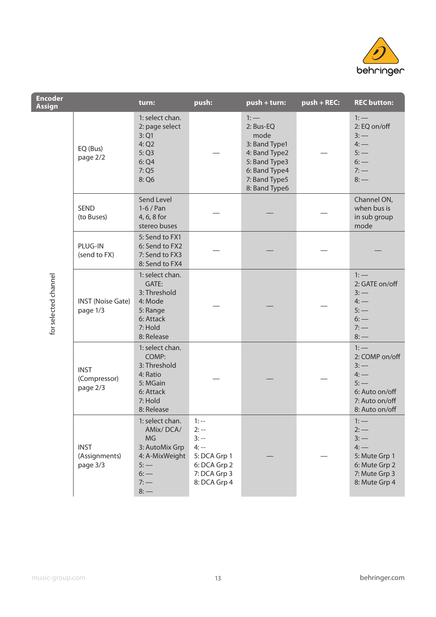

| <b>Encoder</b><br><b>Assign</b> |                                          | turn:                                                                                                              | push:                                                                                                    | push + turn:                                                                                                                      | $push + REC:$ | <b>REC button:</b>                                                                                   |
|---------------------------------|------------------------------------------|--------------------------------------------------------------------------------------------------------------------|----------------------------------------------------------------------------------------------------------|-----------------------------------------------------------------------------------------------------------------------------------|---------------|------------------------------------------------------------------------------------------------------|
|                                 | EQ (Bus)<br>page 2/2                     | 1: select chan.<br>2: page select<br>3:Q1<br>4:Q2<br>5:Q3<br>6:Q4<br>7:Q5<br>8: Q6                                 |                                                                                                          | $1:$ —<br>2: Bus-EQ<br>mode<br>3: Band Type1<br>4: Band Type2<br>5: Band Type3<br>6: Band Type4<br>7: Band Type5<br>8: Band Type6 |               | $1:$ $-$<br>2: EQ on/off<br>$3:$ —<br>4:<br>5:<br>$6:$ $-$<br>7:<br>$8:$ —                           |
|                                 | <b>SEND</b><br>(to Buses)                | Send Level<br>$1-6/Pan$<br>4, 6, 8 for<br>stereo buses                                                             |                                                                                                          |                                                                                                                                   |               | Channel ON,<br>when bus is<br>in sub group<br>mode                                                   |
|                                 | PLUG-IN<br>(send to FX)                  | 5: Send to FX1<br>6: Send to FX2<br>7: Send to FX3<br>8: Send to FX4                                               |                                                                                                          |                                                                                                                                   |               |                                                                                                      |
| for selected channel            | <b>INST</b> (Noise Gate)<br>page 1/3     | 1: select chan.<br>GATE:<br>3: Threshold<br>4: Mode<br>5: Range<br>6: Attack<br>7: Hold<br>8: Release              |                                                                                                          |                                                                                                                                   |               | $1:$ —<br>2: GATE on/off<br>$3:-$<br>4:<br>$5:$ —<br>$6:$ $-$<br>7:<br>$8:$ —                        |
|                                 | <b>INST</b><br>(Compressor)<br>page 2/3  | 1: select chan.<br>COMP:<br>3: Threshold<br>4: Ratio<br>5: MGain<br>6: Attack<br>7: Hold<br>8: Release             |                                                                                                          |                                                                                                                                   |               | $1:$ —<br>2: COMP on/off<br>3:<br>4:<br>$5:$ —<br>6: Auto on/off<br>7: Auto on/off<br>8: Auto on/off |
|                                 | <b>INST</b><br>(Assignments)<br>page 3/3 | 1: select chan.<br>AMix/DCA/<br>MG<br>3: AutoMix Grp<br>4: A-MixWeight<br>$5:$ —<br>$6:$ $-$<br>$7:$ $-$<br>$8:$ — | $1: -$<br>$2: -$<br>$3: - -$<br>$4: - -$<br>5: DCA Grp 1<br>6: DCA Grp 2<br>7: DCA Grp 3<br>8: DCA Grp 4 |                                                                                                                                   |               | $1:$ —<br>$2:$ —<br>$3:-$<br>4:<br>5: Mute Grp 1<br>6: Mute Grp 2<br>7: Mute Grp 3<br>8: Mute Grp 4  |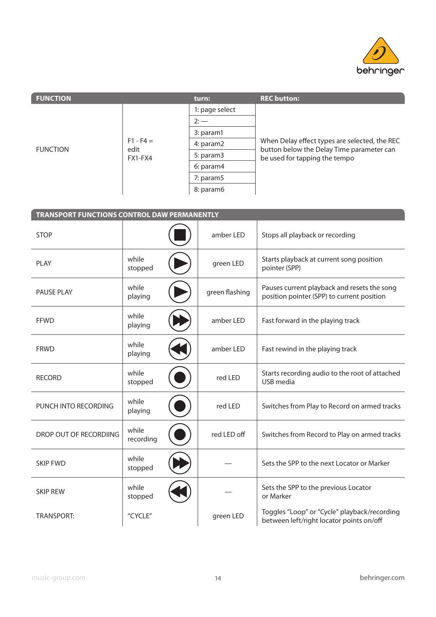

| <b>FUNCTION</b> |                                | turn:          | <b>REC button:</b>                                                         |
|-----------------|--------------------------------|----------------|----------------------------------------------------------------------------|
| <b>FUNCTION</b> | $F1 - F4 =$<br>edit<br>FX1-FX4 | 1: page select |                                                                            |
|                 |                                | $2:$ —         |                                                                            |
|                 |                                | 3: param1      |                                                                            |
|                 |                                | 4: param2      | When Delay effect types are selected, the REC                              |
|                 |                                | 5: param3      | button below the Delay Time parameter can<br>be used for tapping the tempo |
|                 |                                | 6: param4      |                                                                            |
|                 |                                | 7: param5      |                                                                            |
|                 |                                | 8: param6      |                                                                            |
|                 |                                |                |                                                                            |

| TRANSPORT FUNCTIONS CONTROL DAW PERMANENTLY |                    |  |                |                                                                                           |
|---------------------------------------------|--------------------|--|----------------|-------------------------------------------------------------------------------------------|
| <b>STOP</b>                                 |                    |  | amber LED      | Stops all playback or recording                                                           |
| <b>PLAY</b>                                 | while<br>stopped   |  | green LED      | Starts playback at current song position<br>pointer (SPP)                                 |
| <b>PAUSE PLAY</b>                           | while<br>playing   |  | green flashing | Pauses current playback and resets the song<br>position pointer (SPP) to current position |
| <b>FFWD</b>                                 | while<br>playing   |  | amber LED      | Fast forward in the playing track                                                         |
| <b>FRWD</b>                                 | while<br>playing   |  | amber LED      | Fast rewind in the playing track                                                          |
| <b>RECORD</b>                               | while<br>stopped   |  | red LED        | Starts recording audio to the root of attached<br>USB media                               |
| PUNCH INTO RECORDING                        | while<br>playing   |  | red LED        | Switches from Play to Record on armed tracks                                              |
| DROP OUT OF RECORDIING                      | while<br>recording |  | red LED off    | Switches from Record to Play on armed tracks                                              |
| <b>SKIP FWD</b>                             | while<br>stopped   |  |                | Sets the SPP to the next Locator or Marker                                                |
| <b>SKIP REW</b>                             | while<br>stopped   |  |                | Sets the SPP to the previous Locator<br>or Marker                                         |
| <b>TRANSPORT:</b>                           | "CYCLE"            |  | green LED      | Toggles "Loop" or "Cycle" playback/recording<br>between left/right locator points on/off  |